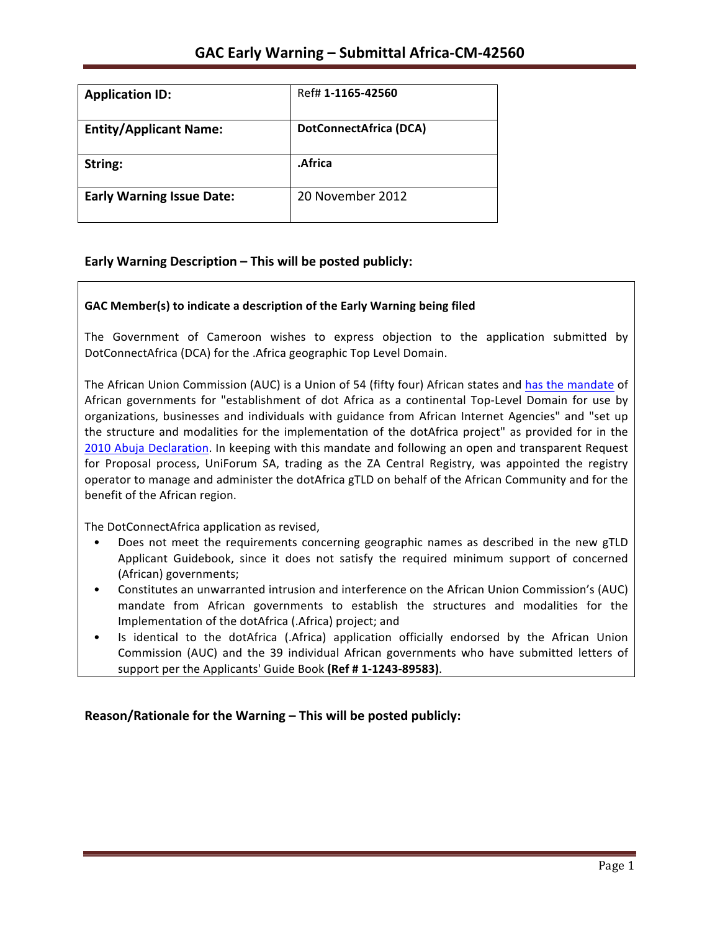| <b>Application ID:</b>           | Ref# 1-1165-42560             |
|----------------------------------|-------------------------------|
| <b>Entity/Applicant Name:</b>    | <b>DotConnectAfrica (DCA)</b> |
| String:                          | .Africa                       |
| <b>Early Warning Issue Date:</b> | 20 November 2012              |

### **Early Warning Description – This will be posted publicly:**

### GAC Member(s) to indicate a description of the Early Warning being filed

The Government of Cameroon wishes to express objection to the application submitted by DotConnectAfrica (DCA) for the .Africa geographic Top Level Domain.

The African Union Commission (AUC) is a Union of 54 (fifty four) African states and has the mandate of African governments for "establishment of dot Africa as a continental Top-Level Domain for use by organizations, businesses and individuals with guidance from African Internet Agencies" and "set up the structure and modalities for the implementation of the dotAfrica project" as provided for in the 2010 Abuja Declaration. In keeping with this mandate and following an open and transparent Request for Proposal process, UniForum SA, trading as the ZA Central Registry, was appointed the registry operator to manage and administer the dotAfrica gTLD on behalf of the African Community and for the benefit of the African region.

The DotConnectAfrica application as revised,

- Does not meet the requirements concerning geographic names as described in the new gTLD Applicant Guidebook, since it does not satisfy the required minimum support of concerned (African) governments;
- Constitutes an unwarranted intrusion and interference on the African Union Commission's (AUC) mandate from African governments to establish the structures and modalities for the Implementation of the dotAfrica (.Africa) project; and
- Is identical to the dotAfrica (.Africa) application officially endorsed by the African Union Commission (AUC) and the 39 individual African governments who have submitted letters of support per the Applicants' Guide Book (Ref # 1-1243-89583).

**Reason/Rationale for the Warning – This will be posted publicly:**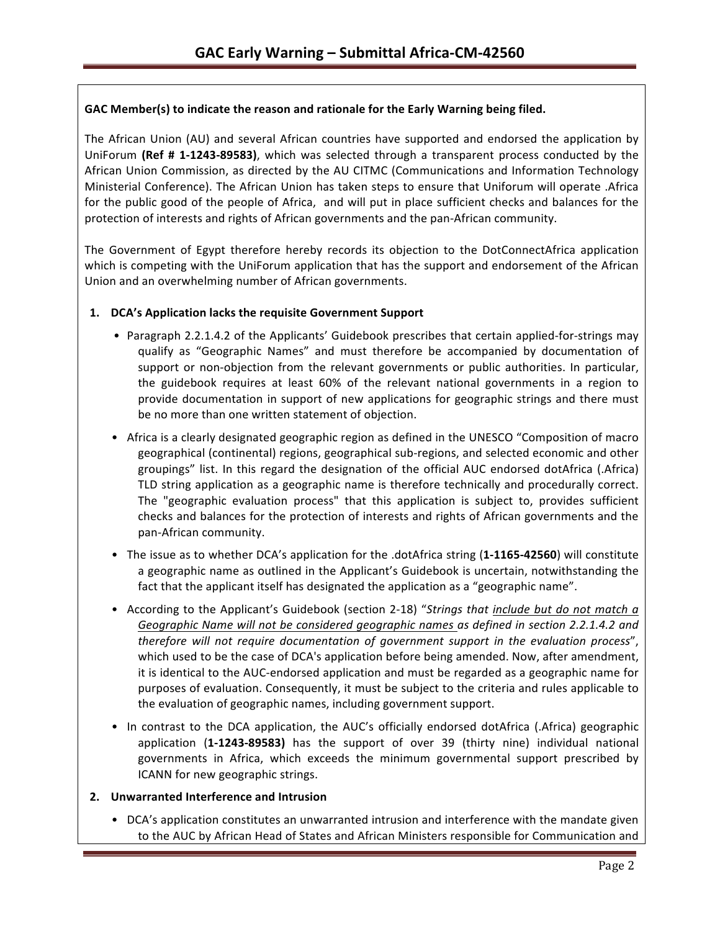### GAC Member(s) to indicate the reason and rationale for the Early Warning being filed.

The African Union (AU) and several African countries have supported and endorsed the application by UniForum (Ref # 1-1243-89583), which was selected through a transparent process conducted by the African Union Commission, as directed by the AU CITMC (Communications and Information Technology Ministerial Conference). The African Union has taken steps to ensure that Uniforum will operate .Africa for the public good of the people of Africa, and will put in place sufficient checks and balances for the protection of interests and rights of African governments and the pan-African community.

The Government of Egypt therefore hereby records its objection to the DotConnectAfrica application which is competing with the UniForum application that has the support and endorsement of the African Union and an overwhelming number of African governments.

### 1. **DCA's Application lacks the requisite Government Support**

- Paragraph 2.2.1.4.2 of the Applicants' Guidebook prescribes that certain applied-for-strings may qualify as "Geographic Names" and must therefore be accompanied by documentation of support or non-objection from the relevant governments or public authorities. In particular, the guidebook requires at least 60% of the relevant national governments in a region to provide documentation in support of new applications for geographic strings and there must be no more than one written statement of objection.
- Africa is a clearly designated geographic region as defined in the UNESCO "Composition of macro geographical (continental) regions, geographical sub-regions, and selected economic and other groupings" list. In this regard the designation of the official AUC endorsed dotAfrica (.Africa) TLD string application as a geographic name is therefore technically and procedurally correct. The "geographic evaluation process" that this application is subject to, provides sufficient checks and balances for the protection of interests and rights of African governments and the pan-African community.
- The issue as to whether DCA's application for the .dotAfrica string (1-1165-42560) will constitute a geographic name as outlined in the Applicant's Guidebook is uncertain, notwithstanding the fact that the applicant itself has designated the application as a "geographic name".
- According to the Applicant's Guidebook (section 2-18) "Strings that include but do not match a Geographic Name will not be considered geographic names as defined in section 2.2.1.4.2 and *therefore will not require documentation of government support in the evaluation process"*, which used to be the case of DCA's application before being amended. Now, after amendment, it is identical to the AUC-endorsed application and must be regarded as a geographic name for purposes of evaluation. Consequently, it must be subject to the criteria and rules applicable to the evaluation of geographic names, including government support.
- In contrast to the DCA application, the AUC's officially endorsed dotAfrica (.Africa) geographic application (1-1243-89583) has the support of over 39 (thirty nine) individual national governments in Africa, which exceeds the minimum governmental support prescribed by ICANN for new geographic strings.

### **2. Unwarranted Interference and Intrusion**

• DCA's application constitutes an unwarranted intrusion and interference with the mandate given to the AUC by African Head of States and African Ministers responsible for Communication and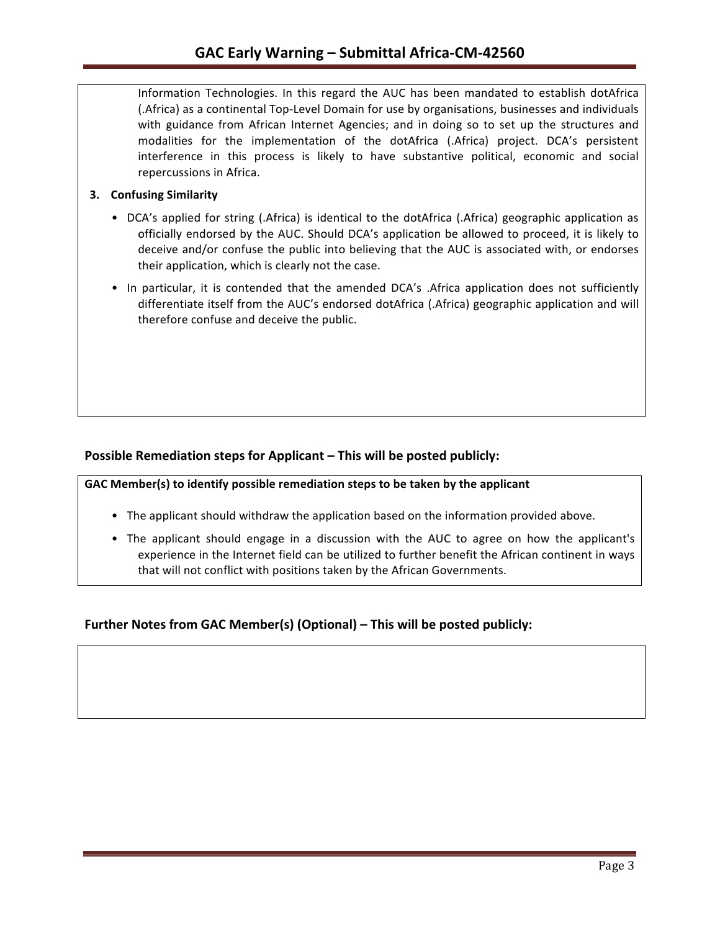Information Technologies. In this regard the AUC has been mandated to establish dotAfrica (.Africa) as a continental Top-Level Domain for use by organisations, businesses and individuals with guidance from African Internet Agencies; and in doing so to set up the structures and modalities for the implementation of the dotAfrica (.Africa) project. DCA's persistent interference in this process is likely to have substantive political, economic and social repercussions in Africa.

### **3.** Confusing Similarity

- DCA's applied for string (.Africa) is identical to the dotAfrica (.Africa) geographic application as officially endorsed by the AUC. Should DCA's application be allowed to proceed, it is likely to deceive and/or confuse the public into believing that the AUC is associated with, or endorses their application, which is clearly not the case.
- In particular, it is contended that the amended DCA's .Africa application does not sufficiently differentiate itself from the AUC's endorsed dotAfrica (.Africa) geographic application and will therefore confuse and deceive the public.

### **Possible Remediation steps for Applicant – This will be posted publicly:**

GAC Member(s) to identify possible remediation steps to be taken by the applicant

- The applicant should withdraw the application based on the information provided above.
- The applicant should engage in a discussion with the AUC to agree on how the applicant's experience in the Internet field can be utilized to further benefit the African continent in ways that will not conflict with positions taken by the African Governments.

## **Further Notes from GAC Member(s) (Optional) – This will be posted publicly:**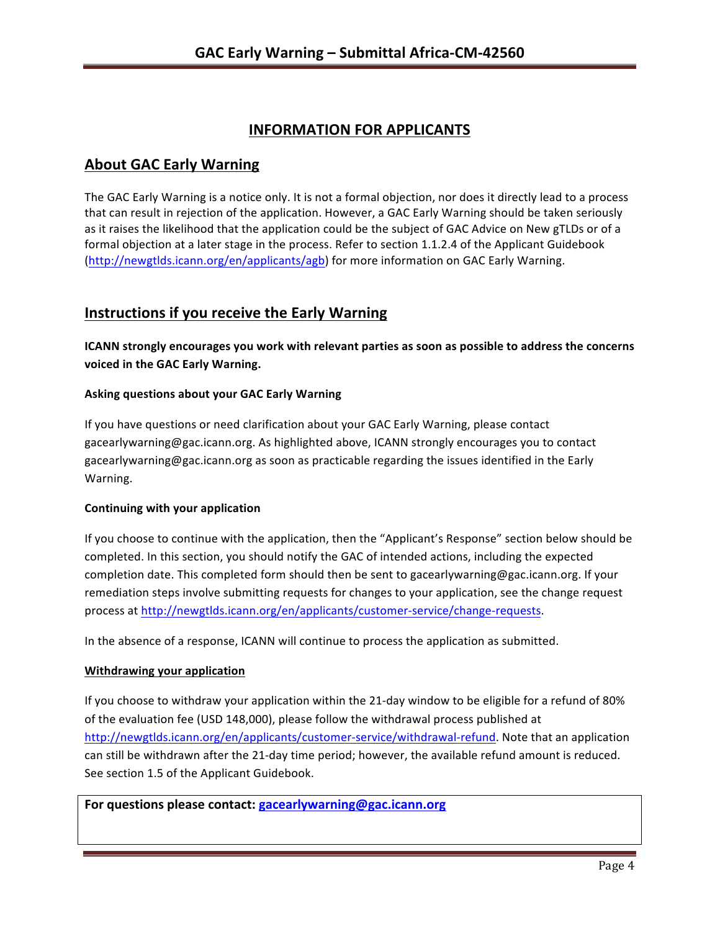# **INFORMATION FOR APPLICANTS**

## **About GAC Early Warning**

The GAC Early Warning is a notice only. It is not a formal objection, nor does it directly lead to a process that can result in rejection of the application. However, a GAC Early Warning should be taken seriously as it raises the likelihood that the application could be the subject of GAC Advice on New gTLDs or of a formal objection at a later stage in the process. Refer to section 1.1.2.4 of the Applicant Guidebook (http://newgtlds.icann.org/en/applicants/agb) for more information on GAC Early Warning.

# **Instructions if you receive the Early Warning**

**ICANN** strongly encourages you work with relevant parties as soon as possible to address the concerns **voiced in the GAC Early Warning.** 

### **Asking questions about your GAC Early Warning**

If you have questions or need clarification about your GAC Early Warning, please contact gacearlywarning@gac.icann.org. As highlighted above, ICANN strongly encourages you to contact gacearlywarning@gac.icann.org as soon as practicable regarding the issues identified in the Early Warning. 

### **Continuing with your application**

If you choose to continue with the application, then the "Applicant's Response" section below should be completed. In this section, you should notify the GAC of intended actions, including the expected completion date. This completed form should then be sent to gacearlywarning@gac.icann.org. If your remediation steps involve submitting requests for changes to your application, see the change request process at http://newgtlds.icann.org/en/applicants/customer-service/change-requests.

In the absence of a response, ICANN will continue to process the application as submitted.

#### **Withdrawing your application**

If you choose to withdraw your application within the 21-day window to be eligible for a refund of 80% of the evaluation fee (USD 148,000), please follow the withdrawal process published at http://newgtlds.icann.org/en/applicants/customer-service/withdrawal-refund. Note that an application can still be withdrawn after the 21-day time period; however, the available refund amount is reduced. See section 1.5 of the Applicant Guidebook.

For questions please contact: gacearlywarning@gac.icann.org